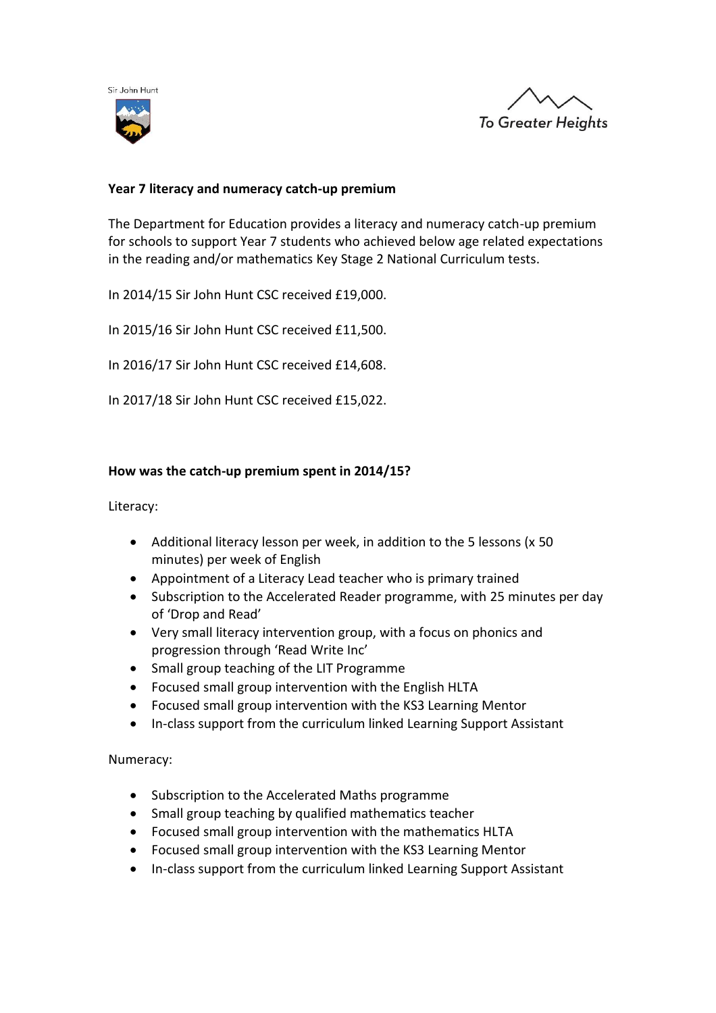



# **Year 7 literacy and numeracy catch-up premium**

The Department for Education provides a literacy and numeracy catch-up premium for schools to support Year 7 students who achieved below age related expectations in the reading and/or mathematics Key Stage 2 National Curriculum tests.

In 2014/15 Sir John Hunt CSC received £19,000.

In 2015/16 Sir John Hunt CSC received £11,500.

In 2016/17 Sir John Hunt CSC received £14,608.

In 2017/18 Sir John Hunt CSC received £15,022.

### **How was the catch-up premium spent in 2014/15?**

Literacy:

- Additional literacy lesson per week, in addition to the 5 lessons (x 50 minutes) per week of English
- Appointment of a Literacy Lead teacher who is primary trained
- Subscription to the Accelerated Reader programme, with 25 minutes per day of 'Drop and Read'
- Very small literacy intervention group, with a focus on phonics and progression through 'Read Write Inc'
- Small group teaching of the LIT Programme
- Focused small group intervention with the English HLTA
- Focused small group intervention with the KS3 Learning Mentor
- In-class support from the curriculum linked Learning Support Assistant

Numeracy:

- Subscription to the Accelerated Maths programme
- Small group teaching by qualified mathematics teacher
- Focused small group intervention with the mathematics HLTA
- Focused small group intervention with the KS3 Learning Mentor
- In-class support from the curriculum linked Learning Support Assistant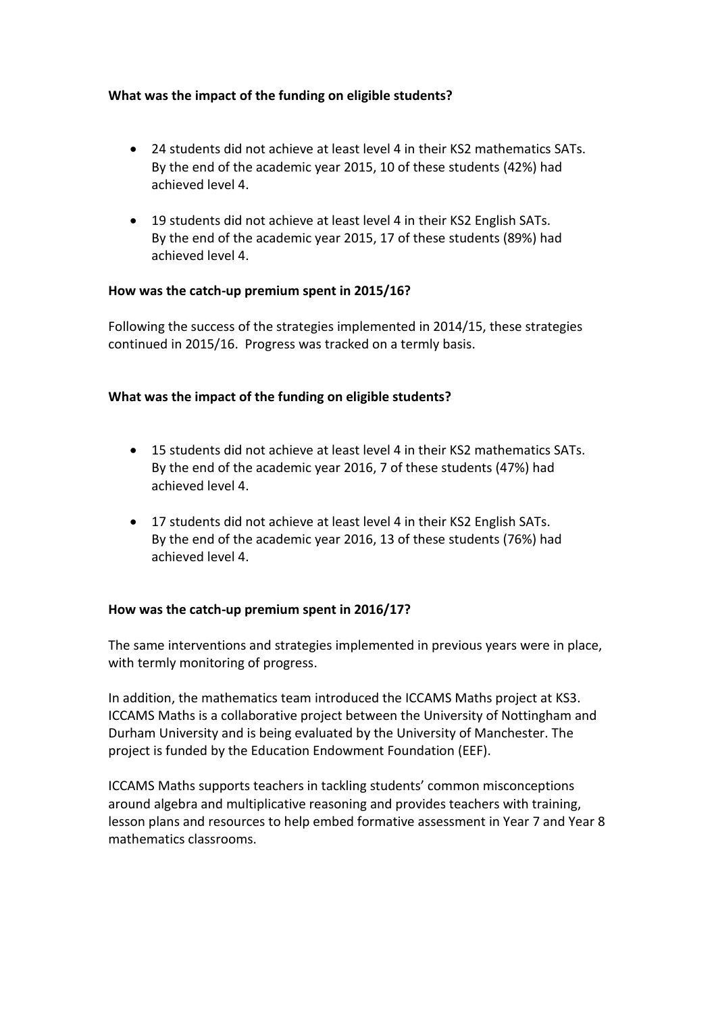# **What was the impact of the funding on eligible students?**

- 24 students did not achieve at least level 4 in their KS2 mathematics SATs. By the end of the academic year 2015, 10 of these students (42%) had achieved level 4.
- 19 students did not achieve at least level 4 in their KS2 English SATs. By the end of the academic year 2015, 17 of these students (89%) had achieved level 4.

### **How was the catch-up premium spent in 2015/16?**

Following the success of the strategies implemented in 2014/15, these strategies continued in 2015/16. Progress was tracked on a termly basis.

## **What was the impact of the funding on eligible students?**

- 15 students did not achieve at least level 4 in their KS2 mathematics SATs. By the end of the academic year 2016, 7 of these students (47%) had achieved level 4.
- 17 students did not achieve at least level 4 in their KS2 English SATs. By the end of the academic year 2016, 13 of these students (76%) had achieved level 4.

### **How was the catch-up premium spent in 2016/17?**

The same interventions and strategies implemented in previous years were in place, with termly monitoring of progress.

In addition, the mathematics team introduced the ICCAMS Maths project at KS3. ICCAMS Maths is a collaborative project between the University of Nottingham and Durham University and is being evaluated by the University of Manchester. The project is funded by the Education Endowment Foundation (EEF).

ICCAMS Maths supports teachers in tackling students' common misconceptions around algebra and multiplicative reasoning and provides teachers with training, lesson plans and resources to help embed formative assessment in Year 7 and Year 8 mathematics classrooms.